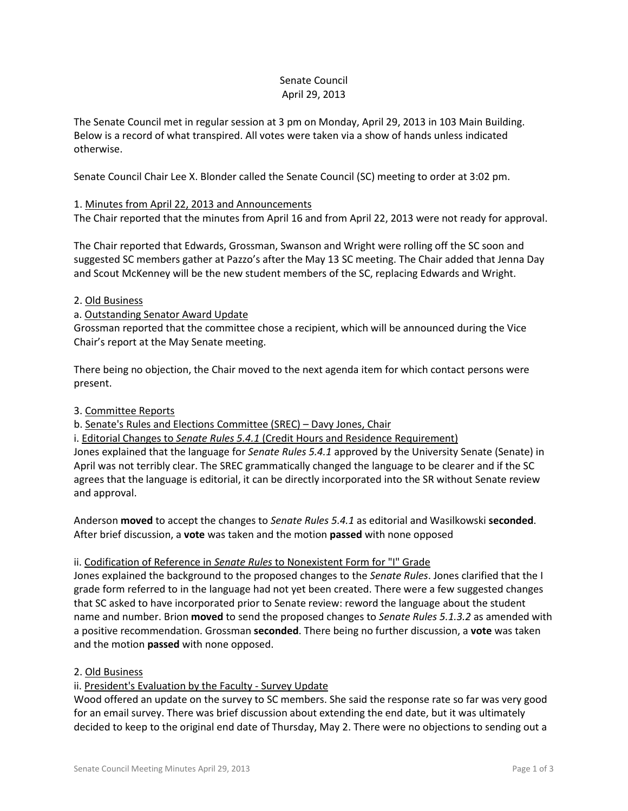## Senate Council April 29, 2013

The Senate Council met in regular session at 3 pm on Monday, April 29, 2013 in 103 Main Building. Below is a record of what transpired. All votes were taken via a show of hands unless indicated otherwise.

Senate Council Chair Lee X. Blonder called the Senate Council (SC) meeting to order at 3:02 pm.

# 1. Minutes from April 22, 2013 and Announcements

The Chair reported that the minutes from April 16 and from April 22, 2013 were not ready for approval.

The Chair reported that Edwards, Grossman, Swanson and Wright were rolling off the SC soon and suggested SC members gather at Pazzo's after the May 13 SC meeting. The Chair added that Jenna Day and Scout McKenney will be the new student members of the SC, replacing Edwards and Wright.

## 2. Old Business

# a. Outstanding Senator Award Update

Grossman reported that the committee chose a recipient, which will be announced during the Vice Chair's report at the May Senate meeting.

There being no objection, the Chair moved to the next agenda item for which contact persons were present.

## 3. Committee Reports

b. Senate's Rules and Elections Committee (SREC) – Davy Jones, Chair

i. Editorial Changes to *Senate Rules 5.4.1* (Credit Hours and Residence Requirement) Jones explained that the language for *Senate Rules 5.4.1* approved by the University Senate (Senate) in April was not terribly clear. The SREC grammatically changed the language to be clearer and if the SC agrees that the language is editorial, it can be directly incorporated into the SR without Senate review and approval.

Anderson **moved** to accept the changes to *Senate Rules 5.4.1* as editorial and Wasilkowski **seconded**. After brief discussion, a **vote** was taken and the motion **passed** with none opposed

## ii. Codification of Reference in *Senate Rules* to Nonexistent Form for "I" Grade

Jones explained the background to the proposed changes to the *Senate Rules*. Jones clarified that the I grade form referred to in the language had not yet been created. There were a few suggested changes that SC asked to have incorporated prior to Senate review: reword the language about the student name and number. Brion **moved** to send the proposed changes to *Senate Rules 5.1.3.2* as amended with a positive recommendation. Grossman **seconded**. There being no further discussion, a **vote** was taken and the motion **passed** with none opposed.

# 2. Old Business

## ii. President's Evaluation by the Faculty - Survey Update

Wood offered an update on the survey to SC members. She said the response rate so far was very good for an email survey. There was brief discussion about extending the end date, but it was ultimately decided to keep to the original end date of Thursday, May 2. There were no objections to sending out a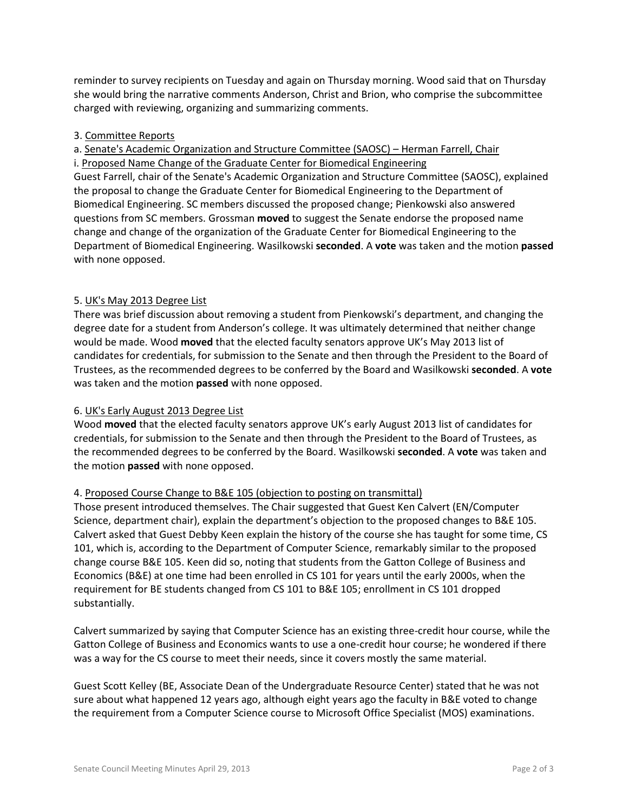reminder to survey recipients on Tuesday and again on Thursday morning. Wood said that on Thursday she would bring the narrative comments Anderson, Christ and Brion, who comprise the subcommittee charged with reviewing, organizing and summarizing comments.

#### 3. Committee Reports

a. Senate's Academic Organization and Structure Committee (SAOSC) – Herman Farrell, Chair

i. Proposed Name Change of the Graduate Center for Biomedical Engineering

Guest Farrell, chair of the Senate's Academic Organization and Structure Committee (SAOSC), explained the proposal to change the Graduate Center for Biomedical Engineering to the Department of Biomedical Engineering. SC members discussed the proposed change; Pienkowski also answered questions from SC members. Grossman **moved** to suggest the Senate endorse the proposed name change and change of the organization of the Graduate Center for Biomedical Engineering to the Department of Biomedical Engineering. Wasilkowski **seconded**. A **vote** was taken and the motion **passed** with none opposed.

#### 5. UK's May 2013 Degree List

There was brief discussion about removing a student from Pienkowski's department, and changing the degree date for a student from Anderson's college. It was ultimately determined that neither change would be made. Wood **moved** that the elected faculty senators approve UK's May 2013 list of candidates for credentials, for submission to the Senate and then through the President to the Board of Trustees, as the recommended degrees to be conferred by the Board and Wasilkowski **seconded**. A **vote** was taken and the motion **passed** with none opposed.

#### 6. UK's Early August 2013 Degree List

Wood **moved** that the elected faculty senators approve UK's early August 2013 list of candidates for credentials, for submission to the Senate and then through the President to the Board of Trustees, as the recommended degrees to be conferred by the Board. Wasilkowski **seconded**. A **vote** was taken and the motion **passed** with none opposed.

## 4. Proposed Course Change to B&E 105 (objection to posting on transmittal)

Those present introduced themselves. The Chair suggested that Guest Ken Calvert (EN/Computer Science, department chair), explain the department's objection to the proposed changes to B&E 105. Calvert asked that Guest Debby Keen explain the history of the course she has taught for some time, CS 101, which is, according to the Department of Computer Science, remarkably similar to the proposed change course B&E 105. Keen did so, noting that students from the Gatton College of Business and Economics (B&E) at one time had been enrolled in CS 101 for years until the early 2000s, when the requirement for BE students changed from CS 101 to B&E 105; enrollment in CS 101 dropped substantially.

Calvert summarized by saying that Computer Science has an existing three-credit hour course, while the Gatton College of Business and Economics wants to use a one-credit hour course; he wondered if there was a way for the CS course to meet their needs, since it covers mostly the same material.

Guest Scott Kelley (BE, Associate Dean of the Undergraduate Resource Center) stated that he was not sure about what happened 12 years ago, although eight years ago the faculty in B&E voted to change the requirement from a Computer Science course to Microsoft Office Specialist (MOS) examinations.